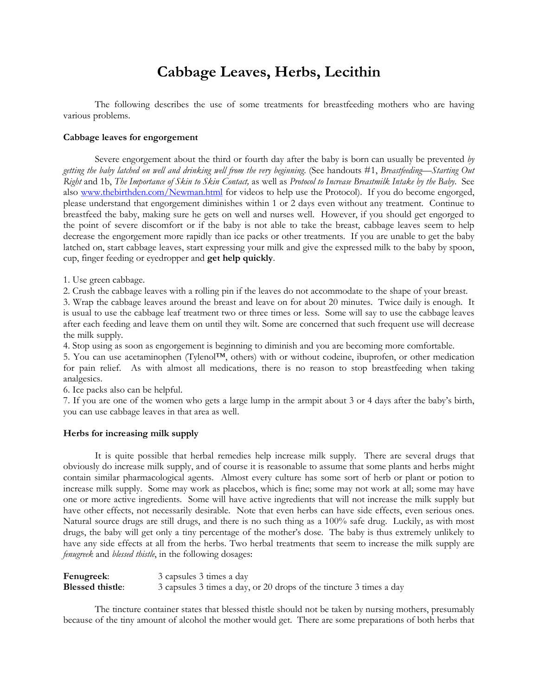# **Cabbage Leaves, Herbs, Lecithin**

The following describes the use of some treatments for breastfeeding mothers who are having various problems.

#### **Cabbage leaves for engorgement**

Severe engorgement about the third or fourth day after the baby is born can usually be prevented *by getting the baby latched on well and drinking well from the very beginning*. (See handouts #1, *Breastfeeding—Starting Out Right* and 1b, *The Importance of Skin to Skin Contact,* as well as *Protocol to Increase Breastmilk Intake by the Baby*. See also [www.thebirthden.com/Newman.html](http://www.thebirthden.com/Newman.html) for videos to help use the Protocol). If you do become engorged, please understand that engorgement diminishes within 1 or 2 days even without any treatment. Continue to breastfeed the baby, making sure he gets on well and nurses well. However, if you should get engorged to the point of severe discomfort or if the baby is not able to take the breast, cabbage leaves seem to help decrease the engorgement more rapidly than ice packs or other treatments. If you are unable to get the baby latched on, start cabbage leaves, start expressing your milk and give the expressed milk to the baby by spoon, cup, finger feeding or eyedropper and **get help quickly**.

1. Use green cabbage.

2. Crush the cabbage leaves with <sup>a</sup> rolling pin if the leaves do not accommodate to the shape of your breast. 3. Wrap the cabbage leaves around the breast and leave on for about <sup>20</sup> minutes. Twice daily is enough. It

is usual to use the cabbage leaf treatment two or three times or less. Some will say to use the cabbage leaves after each feeding and leave them on until they wilt. Some are concerned that such frequent use will decrease the milk supply.

4. Stop using as soon as engorgement is beginning to diminish and you are becoming more comfortable.

5. You can use acetaminophen (Tylenol™, others) with or without codeine, ibuprofen, or other medication for pain relief. As with almost all medications, there is no reason to stop breastfeeding when taking analgesics.

6. Ice packs also can be helpful. 7. If you are one of the women who gets a large lump in the armpit about <sup>3</sup> or <sup>4</sup> days after the baby's birth, you can use cabbage leaves in that area as well.

### **Herbs for increasing milk supply**

It is quite possible that herbal remedies help increase milk supply. There are several drugs that obviously do increase milk supply, and of course it is reasonable to assume that some plants and herbs might contain similar pharmacological agents. Almost every culture has some sort of herb or plant or potion to increase milk supply. Some may work as placebos, which is fine; some may not work at all; some may have one or more active ingredients. Some will have active ingredients that will not increase the milk supply but have other effects, not necessarily desirable. Note that even herbs can have side effects, even serious ones. Natural source drugs are still drugs, and there is no such thing as a 100% safe drug. Luckily, as with most drugs, the baby will get only a tiny percentage of the mother's dose. The baby is thus extremely unlikely to have any side effects at all from the herbs. Two herbal treatments that seem to increase the milk supply are *fenugreek* and *blessed thistle*, in the following dosages:

| Fenugreek:              | 3 capsules 3 times a day                                            |
|-------------------------|---------------------------------------------------------------------|
| <b>Blessed thistle:</b> | 3 capsules 3 times a day, or 20 drops of the tincture 3 times a day |

The tincture container states that blessed thistle should not be taken by nursing mothers, presumably because of the tiny amount of alcohol the mother would get. There are some preparations of both herbs that